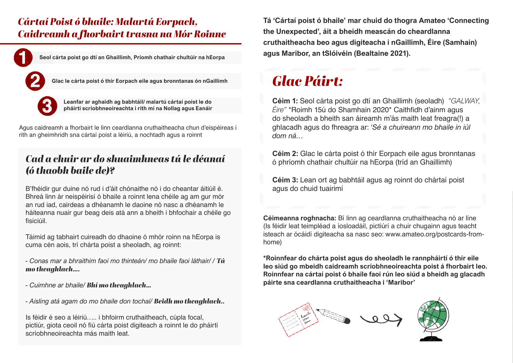### *Cártaí Poist ó bhaile: Malartú Eorpach, Caidreamh a fhorbairt trasna na Mór Roinne*



Agus caidreamh a fhorbairt le linn ceardlanna cruthaitheacha chun d'eispéireas i rith an gheimhridh sna cártaí poist a léiriú, a nochtadh agus a roinnt

#### *Cad a chuir ar do shuaimhneas tú le déanaí (ó thaobh baile de)?*

B'fhéidir gur duine nó rud i d'áit chónaithe nó i do cheantar áitiúil é. Bhreá linn ár neispéirisí ó bhaile a roinnt lena chéile ag am gur mór an rud iad, cairdeas a dhéanamh le daoine nó nasc a dhéanamh le háiteanna nuair gur beag deis atá ann a bheith i bhfochair a chéile go fisiciúil.

Táimid ag tabhairt cuireadh do dhaoine ó mhór roinn na hEorpa is cuma cén aois, trí chárta poist a sheoladh, ag roinnt:

*- Conas mar a bhraithim faoi mo thinteán/ mo bhaile faoi láthair/ / Tá mo theaghlach….*

- *Cuimhne ar bhaile/ Bhí mo theaghlach…*
- *Aisling atá agam do mo bhaile don tochaí/ Beidh mo theaghlach..*

Is féidir é seo a léiriú….. i bhfoirm cruthaitheach, cúpla focal, pictiúr, giota ceoil nó fiú cárta poist digiteach a roinnt le do pháirtí scríobhneoireachta más maith leat.

**Tá 'Cártaí poist ó bhaile' mar chuid do thogra Amateo 'Connecting the Unexpected', áit a bheidh meascán do cheardlanna cruthaitheacha beo agus digiteacha i nGaillimh, Éire (Samhain) agus Maribor, an tSlóivéin (Bealtaine 2021).**

## *Glac Páirt:*

**Céim 1:** Seol cárta poist go dtí an Ghaillimh (seoladh) *"GALWAY, Éire"* \*Roimh 15ú do Shamhain 2020\* Caithfidh d'ainm agus do sheoladh a bheith san áireamh m'ás maith leat freagra(!) a ghlacadh agus do fhreagra ar: '*Sé a chuireann mo bhaile in iúl dom ná…*

**Céim 2:** Glac le cárta poist ó thír Eorpach eile agus bronntanas ó phríomh chathair chultúir na hEorpa (tríd an Ghaillimh)

**Céim 3:** Lean ort ag babhtáil agus ag roinnt do chártaí poist agus do chuid tuairimí

**Céimeanna roghnacha:** Bí linn ag ceardlanna cruthaitheacha nó ar líne (Is féidir leat teimpléad a íosloadáil, pictiúrí a chuir chugainn agus teacht isteach ar ócáidí digiteacha sa nasc seo: [www.amateo.org/postcards-from](http://www.amateo.org/postcards-from-home)[home](http://www.amateo.org/postcards-from-home))

**\*Roinnfear do chárta poist agus do sheoladh le rannpháirtí ó thír eile leo siúd go mbeidh caidreamh scríobhneoireachta poist á fhorbairt leo. Roinnfear na cártaí poist ó bhaile faoi rún leo siúd a bheidh ag glacadh páirte sna ceardlanna cruthaitheacha i 'Maribor'**